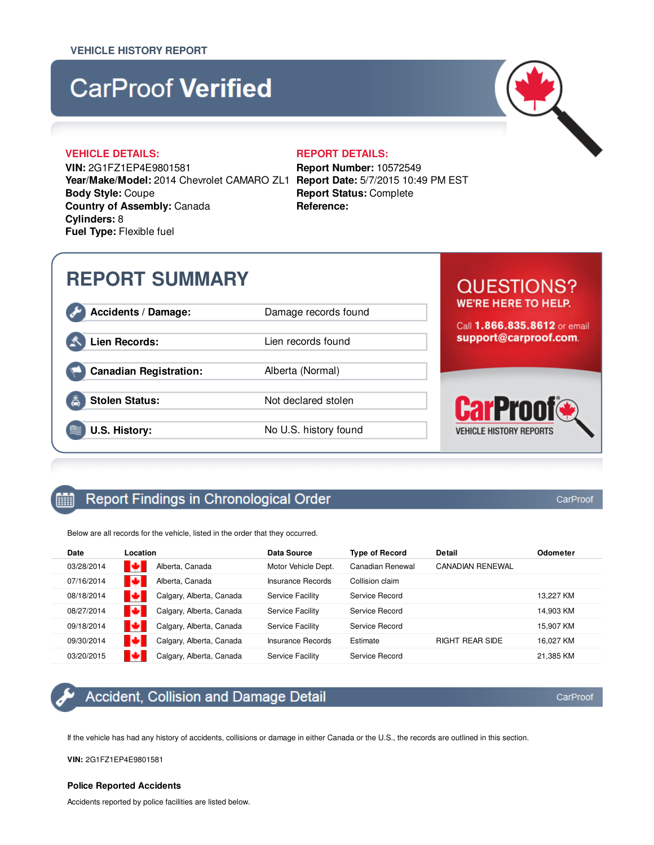# **CarProof Verified**

### **VEHICLE DETAILS: REPORT DETAILS:**

**VIN:** 2G1FZ1EP4E9801581 **Year/Make/Model:** 2014 Chevrolet CAMARO ZL1 **Report Date:** 5/7/2015 10:49 PM EST **Body Style:** Coupe **Country of Assembly:** Canada **Cylinders:** 8 **Fuel Type:** Flexible fuel

**Report Number:** 10572549 **Report Status:** Complete **Reference:**

# **REPORT SUMMARY**

Accidents / Damage: Damage records found

**Canadian Registration:** Alberta (Normal)

# Lien Records: Lien records found

**Stolen Status:** Not declared stolen

**U.S. History:** No U.S. history found

# **QUESTIONS? WE'RE HERE TO HELP.**

Call 1.866.835.8612 or email support@carproof.com.



#### Report Findings in Chronological Order 酾

Below are all records for the vehicle, listed in the order that they occurred.

| Date       | Location                 | Data Source              | <b>Type of Record</b> | <b>Detail</b>           | <b>Odometer</b> |
|------------|--------------------------|--------------------------|-----------------------|-------------------------|-----------------|
| 03/28/2014 | Alberta, Canada          | Motor Vehicle Dept.      | Canadian Renewal      | <b>CANADIAN RENEWAL</b> |                 |
| 07/16/2014 | Alberta, Canada          | <b>Insurance Records</b> | Collision claim       |                         |                 |
| 08/18/2014 | Calgary, Alberta, Canada | Service Facility         | Service Record        |                         | 13.227 KM       |
| 08/27/2014 | Calgary, Alberta, Canada | Service Facility         | Service Record        |                         | 14.903 KM       |
| 09/18/2014 | Calgary, Alberta, Canada | Service Facility         | Service Record        |                         | 15.907 KM       |
| 09/30/2014 | Calgary, Alberta, Canada | Insurance Records        | Estimate              | <b>RIGHT REAR SIDE</b>  | 16.027 KM       |
| 03/20/2015 | Calgary, Alberta, Canada | Service Facility         | Service Record        |                         | 21.385 KM       |



# Accident, Collision and Damage Detail

If the vehicle has had any history of accidents, collisions or damage in either Canada or the U.S., the records are outlined in this section.

**VIN:** 2G1FZ1EP4E9801581

### **Police Reported Accidents**

Accidents reported by police facilities are listed below.

CarProof

CarProof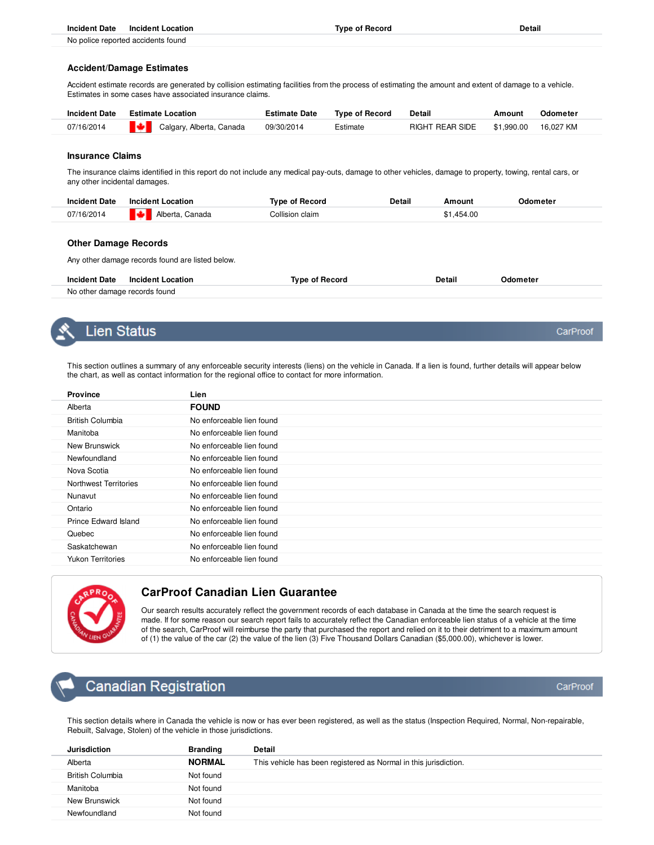| Incident Date Incident Location                                                                                                                                                                                                | <b>Type of Record</b> | Detail |
|--------------------------------------------------------------------------------------------------------------------------------------------------------------------------------------------------------------------------------|-----------------------|--------|
| the contract of the contract of the contract of the contract of the contract of the contract of the contract of the contract of the contract of the contract of the contract of the contract of the contract of the contract o |                       |        |

No police reported accidents found

#### **Accident/Damage Estimates**

Accident estimate records are generated by collision estimating facilities from the process of estimating the amount and extent of damage to a vehicle. Estimates in some cases have associated insurance claims.

| <b>Incident Date</b> | <b>Estimate Location</b>        | <b>Estimate Date</b> | <b>Type of Record</b> | Detail                     | Amount | Odometer  |
|----------------------|---------------------------------|----------------------|-----------------------|----------------------------|--------|-----------|
| 07/16/2014           | <b>Calgary, Alberta, Canada</b> | 09/30/2014           | Estimate              | RIGHT REAR SIDE \$1.990.00 |        | 16.027 KM |
|                      |                                 |                      |                       |                            |        |           |

#### **Insurance Claims**

The insurance claims identified in this report do not include any medical pay-outs, damage to other vehicles, damage to property, towing, rental cars, or any other incidental damages.

| <b>Incident Date</b> | <b>Incident Location</b> | Tvpe of Record  | Detail | Amount     | Odometer |
|----------------------|--------------------------|-----------------|--------|------------|----------|
| 07/16/2014           | IØ.<br>Alberta, Canada   | Collision claim |        | \$1.454.00 |          |

#### **Other Damage Records**

Any other damage records found are listed below.

| <b>Incident Date</b>          | Incident Location | Tvne of Record | Detail | .lometer |
|-------------------------------|-------------------|----------------|--------|----------|
| No other damage records found |                   |                |        |          |



## Lien Status

This section outlines a summary of any enforceable security interests (liens) on the vehicle in Canada. If a lien is found, further details will appear below the chart, as well as contact information for the regional office to contact for more information.

| <b>Province</b>          | Lien                      |
|--------------------------|---------------------------|
| Alberta                  | <b>FOUND</b>              |
| <b>British Columbia</b>  | No enforceable lien found |
| Manitoba                 | No enforceable lien found |
| New Brunswick            | No enforceable lien found |
| Newfoundland             | No enforceable lien found |
| Nova Scotia              | No enforceable lien found |
| Northwest Territories    | No enforceable lien found |
| Nunavut                  | No enforceable lien found |
| Ontario                  | No enforceable lien found |
| Prince Edward Island     | No enforceable lien found |
| Quebec                   | No enforceable lien found |
| Saskatchewan             | No enforceable lien found |
| <b>Yukon Territories</b> | No enforceable lien found |



### **CarProof Canadian Lien Guarantee**

Our search results accurately reflect the government records of each database in Canada at the time the search request is made. If for some reason our search report fails to accurately reflect the Canadian enforceable lien status of a vehicle at the time of the search, CarProof will reimburse the party that purchased the report and relied on it to their detriment to a maximum amount of (1) the value of the car (2) the value of the lien (3) Five Thousand Dollars Canadian (\$5,000.00), whichever is lower.

# **Canadian Registration**

CarProof

CarProof

This section details where in Canada the vehicle is now or has ever been registered, as well as the status (Inspection Required, Normal, Non-repairable, Rebuilt, Salvage, Stolen) of the vehicle in those jurisdictions.

| <b>Jurisdiction</b>     | <b>Branding</b> | <b>Detail</b>                                                    |
|-------------------------|-----------------|------------------------------------------------------------------|
| Alberta                 | <b>NORMAL</b>   | This vehicle has been registered as Normal in this jurisdiction. |
| <b>British Columbia</b> | Not found       |                                                                  |
| Manitoba                | Not found       |                                                                  |
| New Brunswick           | Not found       |                                                                  |
| Newfoundland            | Not found       |                                                                  |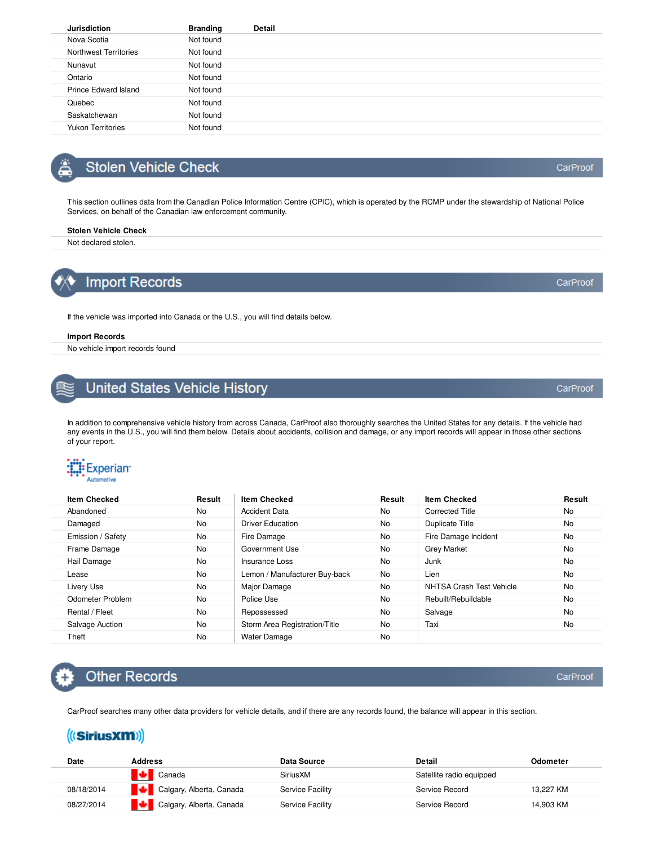| <b>Jurisdiction</b>          | <b>Branding</b> | <b>Detail</b> |
|------------------------------|-----------------|---------------|
| Nova Scotia                  | Not found       |               |
| <b>Northwest Territories</b> | Not found       |               |
| Nunavut                      | Not found       |               |
| Ontario                      | Not found       |               |
| Prince Edward Island         | Not found       |               |
| Quebec                       | Not found       |               |
| Saskatchewan                 | Not found       |               |
| <b>Yukon Territories</b>     | Not found       |               |
|                              |                 |               |

# **Stolen Vehicle Check**

This section outlines data from the Canadian Police Information Centre (CPIC), which is operated by the RCMP under the stewardship of National Police Services, on behalf of the Canadian law enforcement community.

#### **Stolen Vehicle Check**

Not declared stolen.

# **Import Records**

If the vehicle was imported into Canada or the U.S., you will find details below.

#### **Import Records**

No vehicle import records found

# **United States Vehicle History**

In addition to comprehensive vehicle history from across Canada, CarProof also thoroughly searches the United States for any details. If the vehicle had any events in the U.S., you will find them below. Details about accidents, collision and damage, or any import records will appear in those other sections of your report.



| <b>Item Checked</b> | Result | <b>Item Checked</b>           | Result    | <b>Item Checked</b>      | Result    |
|---------------------|--------|-------------------------------|-----------|--------------------------|-----------|
| Abandoned           | No     | <b>Accident Data</b>          | <b>No</b> | <b>Corrected Title</b>   | No        |
| Damaged             | No     | <b>Driver Education</b>       | <b>No</b> | <b>Duplicate Title</b>   | <b>No</b> |
| Emission / Safety   | No     | Fire Damage                   | No        | Fire Damage Incident     | No        |
| Frame Damage        | No     | Government Use                | <b>No</b> | <b>Grey Market</b>       | <b>No</b> |
| Hail Damage         | No     | Insurance Loss                | <b>No</b> | Junk                     | <b>No</b> |
| Lease               | No     | Lemon / Manufacturer Buy-back | No.       | Lien                     | <b>No</b> |
| Livery Use          | No     | Major Damage                  | No        | NHTSA Crash Test Vehicle | <b>No</b> |
| Odometer Problem    | No     | Police Use                    | <b>No</b> | Rebuilt/Rebuildable      | <b>No</b> |
| Rental / Fleet      | No     | Repossessed                   | <b>No</b> | Salvage                  | No        |
| Salvage Auction     | No     | Storm Area Registration/Title | No.       | Taxi                     | No.       |
| Theft               | No     | <b>Water Damage</b>           | No.       |                          |           |

# **Other Records**

CarProof searches many other data providers for vehicle details, and if there are any records found, the balance will appear in this section.

# ((SiriusXM))

| Date       | <b>Address</b>           | Data Source      | Detail                   | Odometer  |
|------------|--------------------------|------------------|--------------------------|-----------|
|            | $\bigcup$ Canada         | <b>Sirius XM</b> | Satellite radio equipped |           |
| 08/18/2014 | Calgary, Alberta, Canada | Service Facility | Service Record           | 13.227 KM |
| 08/27/2014 | Calgary, Alberta, Canada | Service Facility | Service Record           | 14.903 KM |

CarProof

CarProof

CarProof

CarProof